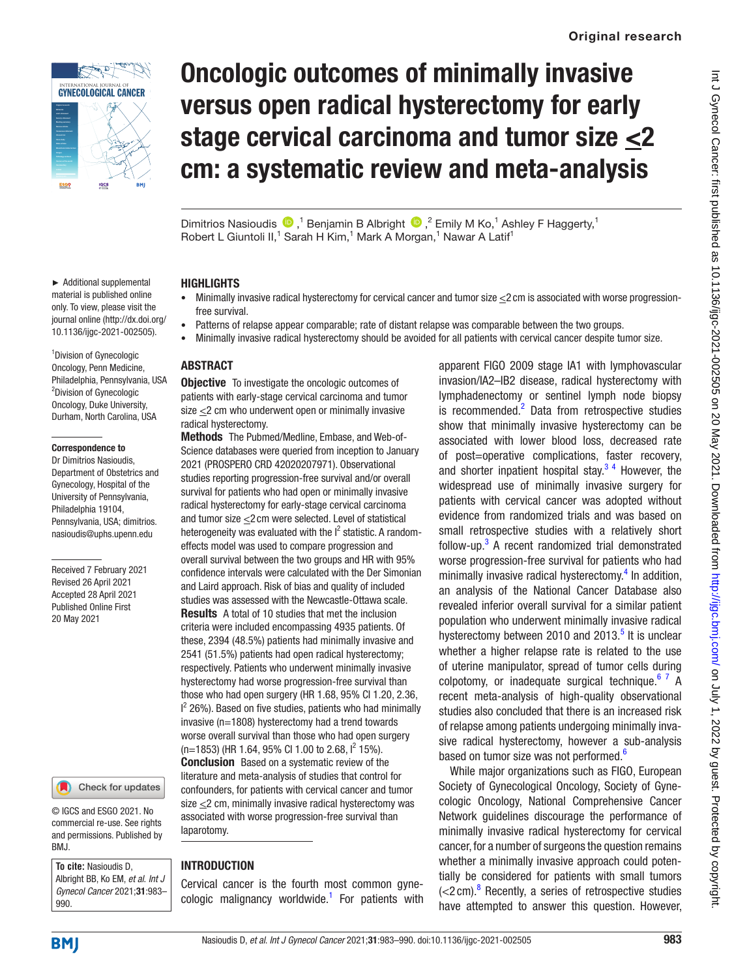

► Additional supplemental material is published online only. To view, please visit the journal online [\(http://dx.doi.org/](http://dx.doi.org/10.1136/ijgc-2021-002505) [10.1136/ijgc-2021-002505\)](http://dx.doi.org/10.1136/ijgc-2021-002505).

<sup>1</sup> Division of Gynecologic Oncology, Penn Medicine,

<sup>2</sup>Division of Gynecologic Oncology, Duke University, Durham, North Carolina, USA

Correspondence to Dr Dimitrios Nasioudis, Department of Obstetrics and Gynecology, Hospital of the University of Pennsylvania, Philadelphia 19104, Pennsylvania, USA; dimitrios. nasioudis@uphs.upenn.edu

Received 7 February 2021 Revised 26 April 2021 Accepted 28 April 2021 Published Online First 20 May 2021

# Oncologic outcomes of minimally invasive versus open radical hysterectomy for early stage cervical carcinoma and tumor size  $\leq 2$ cm: a systematic review and meta-analysis

Dimitrios Nasioudis  $\bigcirc$ ,<sup>1</sup> Benjamin B Albright  $\bigcirc$ ,<sup>2</sup> Emily M Ko,<sup>1</sup> Ashley F Haggerty,<sup>1</sup> Robert L Giuntoli II,<sup>1</sup> Sarah H Kim,<sup>1</sup> Mark A Morgan,<sup>1</sup> Nawar A Latif<sup>1</sup>

#### **HIGHLIGHTS**

- Minimally invasive radical hysterectomy for cervical cancer and tumor size  $\leq$ 2 cm is associated with worse progressionfree survival.
- Patterns of relapse appear comparable; rate of distant relapse was comparable between the two groups.
- Minimally invasive radical hysterectomy should be avoided for all patients with cervical cancer despite tumor size.

#### Philadelphia, Pennsylvania, USA ABSTRACT

**Objective** To investigate the oncologic outcomes of patients with early-stage cervical carcinoma and tumor size  $\leq$  2 cm who underwent open or minimally invasive radical hysterectomy.

Methods The Pubmed/Medline, Embase, and Web-of-Science databases were queried from inception to January 2021 (PROSPERO CRD 42020207971). Observational studies reporting progression-free survival and/or overall survival for patients who had open or minimally invasive radical hysterectomy for early-stage cervical carcinoma and tumor size <2cm were selected. Level of statistical heterogeneity was evaluated with the  $I^2$  statistic. A randomeffects model was used to compare progression and overall survival between the two groups and HR with 95% confidence intervals were calculated with the Der Simonian and Laird approach. Risk of bias and quality of included studies was assessed with the Newcastle-Ottawa scale. Results A total of 10 studies that met the inclusion criteria were included encompassing 4935 patients. Of these, 2394 (48.5%) patients had minimally invasive and 2541 (51.5%) patients had open radical hysterectomy; respectively. Patients who underwent minimally invasive hysterectomy had worse progression-free survival than those who had open surgery (HR 1.68, 95% CI 1.20, 2.36,  $I<sup>2</sup>$  26%). Based on five studies, patients who had minimally invasive (n=1808) hysterectomy had a trend towards worse overall survival than those who had open surgery  $(n=1853)$  (HR 1.64, 95% CI 1.00 to 2.68,  $1^2$  15%). Conclusion Based on a systematic review of the literature and meta-analysis of studies that control for confounders, for patients with cervical cancer and tumor size  $\leq$ 2 cm, minimally invasive radical hysterectomy was associated with worse progression-free survival than laparotomy.

#### **INTRODUCTION**

Cervical cancer is the fourth most common gyne-cologic malignancy worldwide.<sup>[1](#page-6-0)</sup> For patients with apparent FIGO 2009 stage IA1 with lymphovascular invasion/IA2–IB2 disease, radical hysterectomy with lymphadenectomy or sentinel lymph node biopsy is recommended.<sup>[2](#page-6-1)</sup> Data from retrospective studies show that minimally invasive hysterectomy can be associated with lower blood loss, decreased rate of post=operative complications, faster recovery, and shorter inpatient hospital stay. $3<sup>4</sup>$  However, the widespread use of minimally invasive surgery for patients with cervical cancer was adopted without evidence from randomized trials and was based on small retrospective studies with a relatively short follow-up.<sup>[3](#page-6-2)</sup> A recent randomized trial demonstrated worse progression-free survival for patients who had minimally invasive radical hysterectomy.<sup>4</sup> In addition, an analysis of the National Cancer Database also revealed inferior overall survival for a similar patient population who underwent minimally invasive radical hysterectomy between 2010 and 2013. $5$  It is unclear whether a higher relapse rate is related to the use of uterine manipulator, spread of tumor cells during colpotomy, or inadequate surgical technique. $67$  A recent meta-analysis of high-quality observational studies also concluded that there is an increased risk of relapse among patients undergoing minimally invasive radical hysterectomy, however a sub-analysis based on tumor size was not performed.<sup>[6](#page-6-5)</sup>

While major organizations such as FIGO, European Society of Gynecological Oncology, Society of Gynecologic Oncology, National Comprehensive Cancer Network guidelines discourage the performance of minimally invasive radical hysterectomy for cervical cancer, for a number of surgeons the question remains whether a minimally invasive approach could potentially be considered for patients with small tumors  $\left($  <2 cm).<sup>8</sup> Recently, a series of retrospective studies have attempted to answer this question. However,

990.

BMJ.

**To cite:** Nasioudis D, Albright BB, Ko EM, *et al*. *Int J Gynecol Cancer* 2021;31:983–

© IGCS and ESGO 2021. No commercial re-use. See rights and permissions. Published by

Check for updates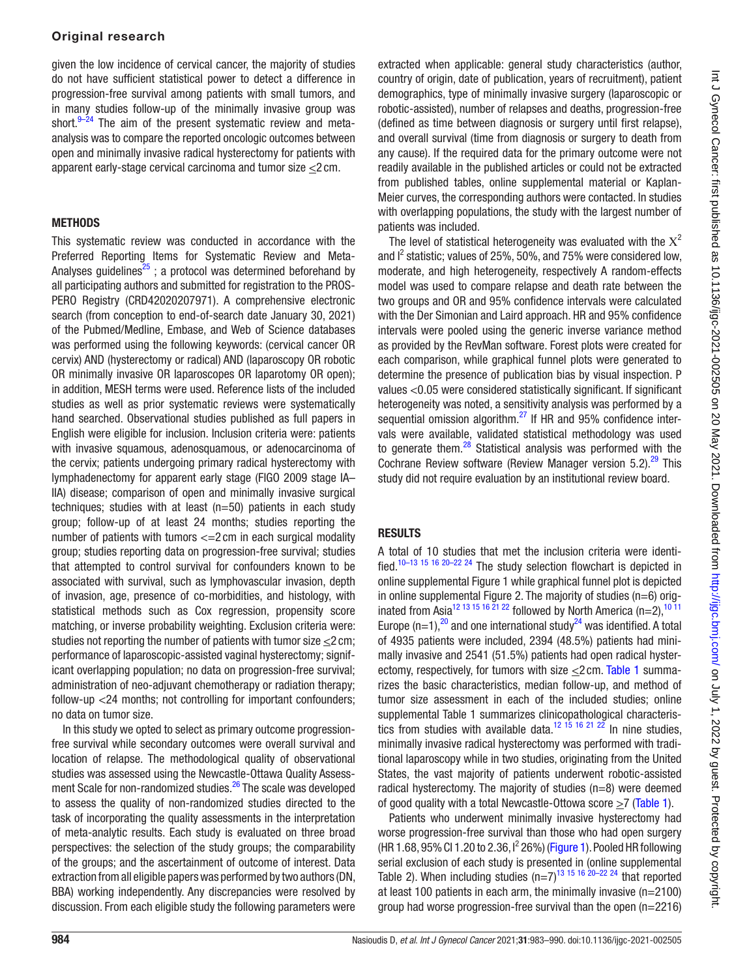### Original research

given the low incidence of cervical cancer, the majority of studies do not have sufficient statistical power to detect a difference in progression-free survival among patients with small tumors, and in many studies follow-up of the minimally invasive group was short. $9-24$  The aim of the present systematic review and metaanalysis was to compare the reported oncologic outcomes between open and minimally invasive radical hysterectomy for patients with apparent early-stage cervical carcinoma and tumor size <2 cm.

### **METHODS**

This systematic review was conducted in accordance with the Preferred Reporting Items for Systematic Review and Meta-Analyses guidelines<sup>25</sup>; a protocol was determined beforehand by all participating authors and submitted for registration to the PROS-PERO Registry (CRD42020207971). A comprehensive electronic search (from conception to end-of-search date January 30, 2021) of the Pubmed/Medline, Embase, and Web of Science databases was performed using the following keywords: (cervical cancer OR cervix) AND (hysterectomy or radical) AND (laparoscopy OR robotic OR minimally invasive OR laparoscopes OR laparotomy OR open); in addition, MESH terms were used. Reference lists of the included studies as well as prior systematic reviews were systematically hand searched. Observational studies published as full papers in English were eligible for inclusion. Inclusion criteria were: patients with invasive squamous, adenosquamous, or adenocarcinoma of the cervix; patients undergoing primary radical hysterectomy with lymphadenectomy for apparent early stage (FIGO 2009 stage IA– IIA) disease; comparison of open and minimally invasive surgical techniques; studies with at least (n=50) patients in each study group; follow-up of at least 24 months; studies reporting the number of patients with tumors <=2 cm in each surgical modality group; studies reporting data on progression-free survival; studies that attempted to control survival for confounders known to be associated with survival, such as lymphovascular invasion, depth of invasion, age, presence of co-morbidities, and histology, with statistical methods such as Cox regression, propensity score matching, or inverse probability weighting. Exclusion criteria were: studies not reporting the number of patients with tumor size <2 cm; performance of laparoscopic-assisted vaginal hysterectomy; significant overlapping population; no data on progression-free survival; administration of neo-adjuvant chemotherapy or radiation therapy; follow-up <24 months; not controlling for important confounders; no data on tumor size.

In this study we opted to select as primary outcome progressionfree survival while secondary outcomes were overall survival and location of relapse. The methodological quality of observational studies was assessed using the Newcastle-Ottawa Quality Assessment Scale for non-randomized studies.<sup>26</sup> The scale was developed to assess the quality of non-randomized studies directed to the task of incorporating the quality assessments in the interpretation of meta-analytic results. Each study is evaluated on three broad perspectives: the selection of the study groups; the comparability of the groups; and the ascertainment of outcome of interest. Data extraction from all eligible papers was performed by two authors (DN, BBA) working independently. Any discrepancies were resolved by discussion. From each eligible study the following parameters were

extracted when applicable: general study characteristics (author, country of origin, date of publication, years of recruitment), patient demographics, type of minimally invasive surgery (laparoscopic or robotic-assisted), number of relapses and deaths, progression-free (defined as time between diagnosis or surgery until first relapse), and overall survival (time from diagnosis or surgery to death from any cause). If the required data for the primary outcome were not readily available in the published articles or could not be extracted from published tables, [online supplemental material](https://dx.doi.org/10.1136/ijgc-2021-002505) or Kaplan-Meier curves, the corresponding authors were contacted. In studies with overlapping populations, the study with the largest number of patients was included.

The level of statistical heterogeneity was evaluated with the  $X^2$ and  $I^2$  statistic; values of 25%, 50%, and 75% were considered low, moderate, and high heterogeneity, respectively A random-effects model was used to compare relapse and death rate between the two groups and OR and 95% confidence intervals were calculated with the Der Simonian and Laird approach. HR and 95% confidence intervals were pooled using the generic inverse variance method as provided by the RevMan software. Forest plots were created for each comparison, while graphical funnel plots were generated to determine the presence of publication bias by visual inspection. P values <0.05 were considered statistically significant. If significant heterogeneity was noted, a sensitivity analysis was performed by a sequential omission algorithm.<sup>27</sup> If HR and 95% confidence intervals were available, validated statistical methodology was used to generate them.<sup>[28](#page-7-3)</sup> Statistical analysis was performed with the Cochrane Review software (Review Manager version 5.2).<sup>29</sup> This study did not require evaluation by an institutional review board.

# **RESULTS**

A total of 10 studies that met the inclusion criteria were identified.[10–13 15 16 20–22 24](#page-6-8) The study selection flowchart is depicted in [online supplemental Figure 1](https://dx.doi.org/10.1136/ijgc-2021-002505) while graphical funnel plot is depicted in [online supplemental Figure 2.](https://dx.doi.org/10.1136/ijgc-2021-002505) The majority of studies (n=6) orig-inated from Asia<sup>12 13 15 16 21 22</sup> followed by North America (n=2),<sup>[10 11](#page-6-8)</sup> Europe (n=1), $^{20}$  and one international study<sup>24</sup> was identified. A total of 4935 patients were included, 2394 (48.5%) patients had minimally invasive and 2541 (51.5%) patients had open radical hysterectomy, respectively, for tumors with size <2 cm. [Table 1](#page-2-0) summarizes the basic characteristics, median follow-up, and method of tumor size assessment in each of the included studies; [online](https://dx.doi.org/10.1136/ijgc-2021-002505) [supplemental Table 1](https://dx.doi.org/10.1136/ijgc-2021-002505) summarizes clinicopathological characteristics from studies with available data.<sup>12 15</sup> 16 <sup>21</sup>  $2^{\frac{3}{2}}$  In nine studies, minimally invasive radical hysterectomy was performed with traditional laparoscopy while in two studies, originating from the United States, the vast majority of patients underwent robotic-assisted radical hysterectomy. The majority of studies (n=8) were deemed of good quality with a total Newcastle-Ottowa score >7 ([Table 1](#page-2-0)).

Patients who underwent minimally invasive hysterectomy had worse progression-free survival than those who had open surgery (HR 1.68, 95% CI 1.20 to 2.36, I<sup>2</sup> 26%) [\(Figure 1\)](#page-4-0). Pooled HR following serial exclusion of each study is presented in ([online supplemental](https://dx.doi.org/10.1136/ijgc-2021-002505) [Table 2](https://dx.doi.org/10.1136/ijgc-2021-002505)). When including studies  $(n=7)^{13}$  15 16 20–22 24 that reported at least 100 patients in each arm, the minimally invasive (n=2100) group had worse progression-free survival than the open (n=2216)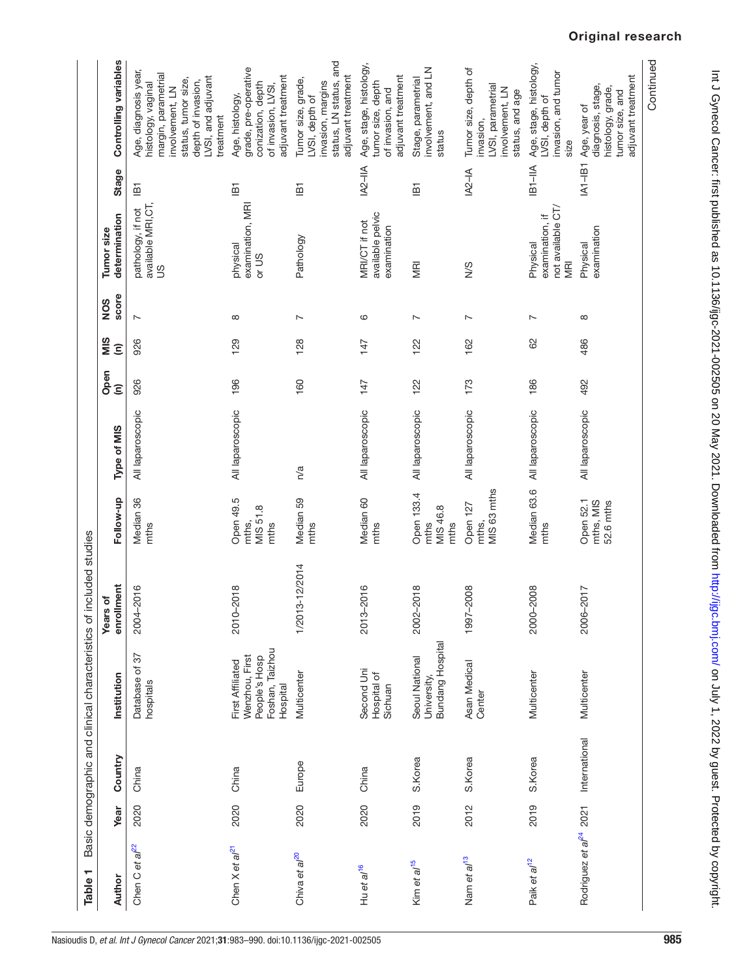<span id="page-2-0"></span>

| Table <sub>1</sub>                 |      |               | Basic demographic and clinical characteristics of included studies                        |                          |                                        |                  |                              |                             |                |                                                                |                                    |                                                                                                                                                                      |
|------------------------------------|------|---------------|-------------------------------------------------------------------------------------------|--------------------------|----------------------------------------|------------------|------------------------------|-----------------------------|----------------|----------------------------------------------------------------|------------------------------------|----------------------------------------------------------------------------------------------------------------------------------------------------------------------|
| Author                             | Year | Country       | Institution                                                                               | enrollment<br>ð<br>Years | Follow-up                              | Type of MIS      | Open<br>$\widehat{\epsilon}$ | SIM<br>$\widehat{\epsilon}$ | score<br>NOS   | determination<br>Tumor size                                    | Stage                              | Controlling variables                                                                                                                                                |
| Chen C et al <sup>22</sup>         | 2020 | China         | 57<br>Database of<br>hospitals                                                            | 2016<br>$2004 - 2$       | Median 36<br>mths                      | All laparoscopic | 926                          | 926                         | $\sim$         | available MRI, CT,<br>pathology, if not<br>$\frac{8}{1}$       | $\overline{B}$                     | Age, diagnosis year,<br>margin, parametrial<br>LVSI, and adjuvant<br>status, tumor size,<br>depth of invasion,<br>histology, vaginal<br>involvement, LN<br>treatment |
| Chen $X$ et $al21$                 | 2020 | China         | Foshan, Taizhou<br>Wenzhou, First<br>People's Hosp<br><b>First Affiliated</b><br>Hospital | 2010-2018                | Open 49.5<br>MIS 51.8<br>mths,<br>mths | All laparoscopic | 196                          | 129                         | ${}^{\circ}$   | examination, MRI<br>physical<br>or US                          | $\overline{B}$                     | grade, pre-operative<br>adjuvant treatment<br>conization, depth<br>of invasion, LVSI,<br>Age, histology,                                                             |
| Chiva et al <sup>20</sup>          | 2020 | Europe        | Multicenter                                                                               | 1/2013-12/2014           | Median 59<br>mths                      | n/a              | 160                          | 128                         | $\overline{ }$ | Pathology                                                      | $\overline{B}$                     | status, LN status, and<br>adjuvant treatment<br>Tumor size, grade,<br>invasion, margins<br>LVSI, depth of                                                            |
| Hu et al <sup>16</sup>             | 2020 | China         | Second Uni<br>Hospital of<br>Sichuan                                                      | 2016<br>$2013 - 2$       | Median 60<br>mths                      | All laparoscopic | 147                          | 147                         | 6              | available pelvic<br>MRI/CT if not<br>examination               | $ A2-1 A$                          | Age, stage, histology,<br>adjuvant treatment<br>tumor size, depth<br>of invasion, and                                                                                |
| Kim et al <sup>15</sup>            | 2019 | S.Korea       | <b>Bundang Hospital</b><br>Seoul National<br>University,                                  | 2002-2018                | Open 133.4<br>MIS 46.8<br>mths<br>mths | All laparoscopic | 122                          | 122                         | $\sim$         | MRI                                                            | $\overline{B}$                     | involvement, and LN<br>Stage, parametrial<br>status                                                                                                                  |
| Nam et al <sup>13</sup>            | 2012 | S.Korea       | Asan Medical<br>Center                                                                    | 1997-2008                | MIS 63 mths<br>Open 127<br>mths,       | All laparoscopic | 173                          | 162                         | $\overline{ }$ | $\frac{8}{2}$                                                  | $1A2 - IA$                         | Tumor size, depth of<br>LVSI, parametrial<br>involvement, LN<br>status, and age<br>nvasion,                                                                          |
| Paik et al <sup>12</sup>           | 2019 | S.Korea       | Multicenter                                                                               | 2000-2008                | Median 63.6<br>mths                    | All laparoscopic | 186                          | 8                           | $\sim$         | not available CT/<br>examination, if<br>Physical<br><b>MRI</b> | IB1-IIA                            | Age, stage, histology,<br>invasion, and tumor<br>LVSI, depth of<br>size                                                                                              |
| Rodriguez et al <sup>24</sup> 2021 |      | International | Multicenter                                                                               | 2017<br>$2006 - i$       | Open 52.1<br>mths, MIS<br>52.6 mths    | All laparoscopic | 492                          | 486                         | ${}^{\circ}$   | examination<br>Physical                                        | $\mathsf{IA1}\text{-}\mathsf{IB1}$ | adjuvant treatment<br>diagnosis, stage,<br>histology, grade,<br>tumor size, and<br>Age, year of                                                                      |
|                                    |      |               |                                                                                           |                          |                                        |                  |                              |                             |                |                                                                |                                    | Continued                                                                                                                                                            |

# Original research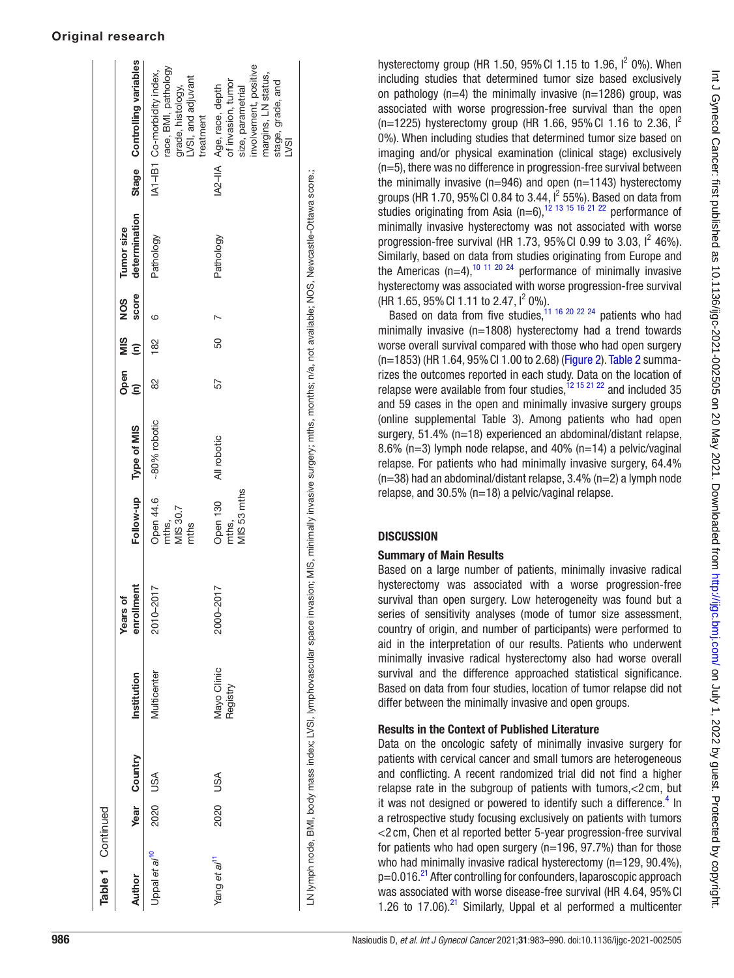#### Original research

| Table 1 Continued         |          |              |                         |                                                                                                                                                                            |                                             |              |           |          |                     |                             |                                                                                                                                                            |
|---------------------------|----------|--------------|-------------------------|----------------------------------------------------------------------------------------------------------------------------------------------------------------------------|---------------------------------------------|--------------|-----------|----------|---------------------|-----------------------------|------------------------------------------------------------------------------------------------------------------------------------------------------------|
| Author                    |          | Year Country | Institution             | llment<br>Years of<br>enrol                                                                                                                                                | Follow-up                                   | Type of MIS  | Open<br>Ē | MIS<br>Ξ | score<br><b>SON</b> | determination<br>Tumor size | Stage Controlling variables                                                                                                                                |
| Uppal et al <sup>10</sup> | 2020 USA |              | Multicenter             | 2010-2017                                                                                                                                                                  | Open 44.6<br>MIS 30.7<br>mths,<br>mths      | ~80% robotic | 82        | 182      | G                   | Pathology                   | race, BMI, pathology<br>IA1-IB1 Co-morbidity index,<br>LVSI, and adjuvant<br>grade, histology,<br>treatment                                                |
| Yang et al <sup>11</sup>  | 2020 USA |              | Mayo Clinic<br>Registry | $-2017$<br>2000-                                                                                                                                                           | MIS <sub>53</sub> mths<br>Open 130<br>mths, | All robotic  | 57        | 50       |                     | Pathology                   | involvement, positive<br>margins, LN status,<br>of invasion, tumor<br>stage, grade, and<br>IA2-IIA Age, race, depth<br>size, parametrial<br>$\overline{2}$ |
|                           |          |              |                         | LN lymph node, BMI, body mass index; LVSI, lymphovascular space invasion; MIS, minimally invasive surgery; mths, months; n/a, not available; NOS, Newcastle-Ottawa score.; |                                             |              |           |          |                     |                             |                                                                                                                                                            |

hysterectomy group (HR 1.50, 95% CI 1.15 to 1.96,  $I^2$  0%). When including studies that determined tumor size based exclusively on pathology ( $n=4$ ) the minimally invasive ( $n=1286$ ) group, was associated with worse progression-free survival than the open (n=1225) hysterectomy group (HR 1.66, 95% CI 1.16 to 2.36,  $I^2$ 0%). When including studies that determined tumor size based on imaging and/or physical examination (clinical stage) exclusively (n=5), there was no difference in progression-free survival between the minimally invasive  $(n=946)$  and open  $(n=1143)$  hysterectomy groups (HR 1.70, 95% CI 0.84 to 3.44,  $I^2$  55%). Based on data from studies originating from Asia  $(n=6)$ ,  $1^2$  13 15 16 21 22 performance of minimally invasive hysterectomy was not associated with worse progression-free survival (HR 1.73, 95% CI 0.99 to 3.03,  $1^2$  46%). Similarly, based on data from studies originating from Europe and the Americas (n=4),<sup>[10 11 20 24](#page-6-8)</sup> performance of minimally invasive hysterectomy was associated with worse progression-free survival (HR 1.65, 95% CI 1.11 to 2.47,  $I^2$  0%).

Based on data from five studies,<sup>[11 16 20 22 24](#page-6-16)</sup> patients who had minimally invasive (n=1808) hysterectomy had a trend towards worse overall survival compared with those who had open surgery (n=1853) (HR 1.64, 95%CI 1.00 to 2.68) [\(Figure 2\)](#page-4-1). [Table 2](#page-5-0) summarizes the outcomes reported in each study. Data on the location of relapse were available from four studies,  $12 \times 152 \times 22$  and included 35 and 59 cases in the open and minimally invasive surgery groups [\(online supplemental Table 3\)](https://dx.doi.org/10.1136/ijgc-2021-002505). Among patients who had open surgery, 51.4% (n=18) experienced an abdominal/distant relapse, 8.6% (n=3) lymph node relapse, and 40% (n=14) a pelvic/vaginal relapse. For patients who had minimally invasive surgery, 64.4%  $(n=38)$  had an abdominal/distant relapse, 3.4%  $(n=2)$  a lymph node relapse, and 30.5% (n=18) a pelvic/vaginal relapse.

# **DISCUSSION**

# Summary of Main Results

Based on a large number of patients, minimally invasive radical hysterectomy was associated with a worse progression-free survival than open surgery. Low heterogeneity was found but a series of sensitivity analyses (mode of tumor size assessment, country of origin, and number of participants) were performed to aid in the interpretation of our results. Patients who underwent minimally invasive radical hysterectomy also had worse overall survival and the difference approached statistical significance. Based on data from four studies, location of tumor relapse did not differ between the minimally invasive and open groups.

# Results in the Context of Published Literature

Data on the oncologic safety of minimally invasive surgery for patients with cervical cancer and small tumors are heterogeneous and conflicting. A recent randomized trial did not find a higher relapse rate in the subgroup of patients with tumors,<2 cm, but it was not designed or powered to identify such a difference.<sup>4</sup> In a retrospective study focusing exclusively on patients with tumors <2 cm, Chen et al reported better 5-year progression-free survival for patients who had open surgery ( $n=196, 97.7%$ ) than for those who had minimally invasive radical hysterectomy (n=129, 90.4%),  $p=0.016.<sup>21</sup>$  After controlling for confounders, laparoscopic approach was associated with worse disease-free survival (HR 4.64, 95% CI 1.26 to 17.06). $21$  Similarly, Uppal et al performed a multicenter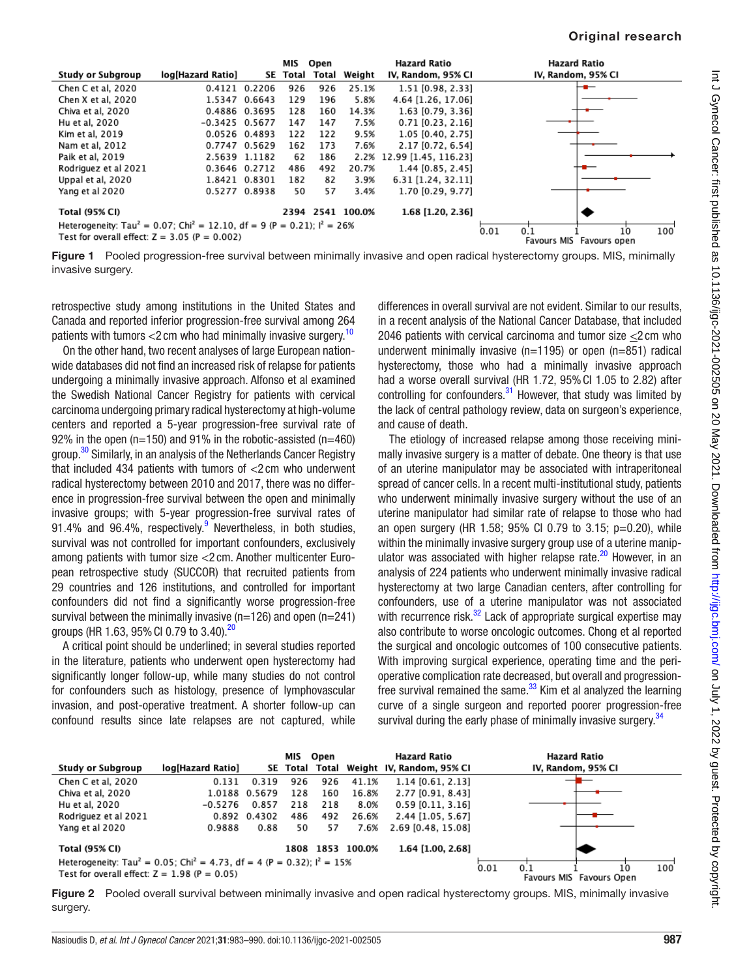|                                                                                                           |                   |               | MIS      | Open  |                  | <b>Hazard Ratio</b>       |      | <b>Hazard Ratio</b> |                          |     |
|-----------------------------------------------------------------------------------------------------------|-------------------|---------------|----------|-------|------------------|---------------------------|------|---------------------|--------------------------|-----|
| <b>Study or Subgroup</b>                                                                                  | log[Hazard Ratio] |               | SE Total | Total | Weight           | IV, Random, 95% CI        |      | IV, Random, 95% CI  |                          |     |
| Chen C et al, 2020                                                                                        | 0.4121 0.2206     |               | 926      | 926   | 25.1%            | 1.51 [0.98, 2.33]         |      |                     |                          |     |
| Chen X et al, 2020                                                                                        |                   | 1.5347 0.6643 | 129      | 196   | 5.8%             | 4.64 [1.26, 17.06]        |      |                     |                          |     |
| Chiva et al, 2020                                                                                         | 0.4886 0.3695     |               | 128      | 160   | 14.3%            | 1.63 [0.79, 3.36]         |      |                     |                          |     |
| Hu et al. 2020                                                                                            | $-0.3425$ 0.5677  |               | 147      | 147   | 7.5%             | $0.71$ [0.23, 2.16]       |      |                     |                          |     |
| Kim et al. 2019                                                                                           | 0.0526 0.4893     |               | 122      | 122   | 9.5%             | 1.05 [0.40, 2.75]         |      |                     |                          |     |
| Nam et al. 2012                                                                                           | 0.7747 0.5629     |               | 162      | 173   | 7.6%             | 2.17 [0.72, 6.54]         |      |                     |                          |     |
| Paik et al. 2019                                                                                          |                   | 2.5639 1.1182 | 62       | 186   |                  | 2.2% 12.99 [1.45, 116.23] |      |                     |                          |     |
| Rodriguez et al 2021                                                                                      | 0.3646 0.2712     |               | 486      | 492   | 20.7%            | 1.44 [0.85, 2.45]         |      |                     |                          |     |
| Uppal et al, 2020                                                                                         |                   | 1.8421 0.8301 | 182      | 82    | 3.9%             | 6.31 [1.24, 32.11]        |      |                     |                          |     |
| Yang et al 2020                                                                                           | 0.5277 0.8938     |               | 50       | 57    | 3.4%             | 1.70 [0.29, 9.77]         |      |                     |                          |     |
| Total (95% CI)                                                                                            |                   |               |          |       | 2394 2541 100.0% | 1.68 [1.20, 2.36]         |      |                     |                          |     |
| Heterogeneity: Tau <sup>2</sup> = 0.07; Chi <sup>2</sup> = 12.10, df = 9 (P = 0.21); l <sup>2</sup> = 26% |                   |               |          |       |                  |                           | 0.01 | 0.1                 | 10                       | 100 |
| Test for overall effect: $Z = 3.05$ (P = 0.002)                                                           |                   |               |          |       |                  |                           |      |                     | Favours MIS Favours open |     |

<span id="page-4-0"></span>Figure 1 Pooled progression-free survival between minimally invasive and open radical hysterectomy groups. MIS, minimally invasive surgery.

retrospective study among institutions in the United States and Canada and reported inferior progression-free survival among 264 patients with tumors  $<$  2 cm who had minimally invasive surgery.<sup>[10](#page-6-8)</sup>

On the other hand, two recent analyses of large European nationwide databases did not find an increased risk of relapse for patients undergoing a minimally invasive approach. Alfonso et al examined the Swedish National Cancer Registry for patients with cervical carcinoma undergoing primary radical hysterectomy at high-volume centers and reported a 5-year progression-free survival rate of 92% in the open ( $n=150$ ) and 91% in the robotic-assisted ( $n=460$ ) group.<sup>[30](#page-7-6)</sup> Similarly, in an analysis of the Netherlands Cancer Registry that included 434 patients with tumors of <2 cm who underwent radical hysterectomy between 2010 and 2017, there was no difference in progression-free survival between the open and minimally invasive groups; with 5-year progression-free survival rates of [9](#page-6-7)1.4% and 96.4%, respectively. $9$  Nevertheless, in both studies, survival was not controlled for important confounders, exclusively among patients with tumor size <2 cm. Another multicenter European retrospective study (SUCCOR) that recruited patients from 29 countries and 126 institutions, and controlled for important confounders did not find a significantly worse progression-free survival between the minimally invasive (n=126) and open (n=241) groups (HR 1.63, 95% CI 0.79 to 3.40).<sup>[20](#page-6-10)</sup>

A critical point should be underlined; in several studies reported in the literature, patients who underwent open hysterectomy had significantly longer follow-up, while many studies do not control for confounders such as histology, presence of lymphovascular invasion, and post-operative treatment. A shorter follow-up can confound results since late relapses are not captured, while

differences in overall survival are not evident. Similar to our results, in a recent analysis of the National Cancer Database, that included 2046 patients with cervical carcinoma and tumor size <2 cm who underwent minimally invasive ( $n=1195$ ) or open ( $n=851$ ) radical hysterectomy, those who had a minimally invasive approach had a worse overall survival (HR 1.72, 95%CI 1.05 to 2.82) after controlling for confounders. $31$  However, that study was limited by the lack of central pathology review, data on surgeon's experience, and cause of death.

The etiology of increased relapse among those receiving minimally invasive surgery is a matter of debate. One theory is that use of an uterine manipulator may be associated with intraperitoneal spread of cancer cells. In a recent multi-institutional study, patients who underwent minimally invasive surgery without the use of an uterine manipulator had similar rate of relapse to those who had an open surgery (HR 1.58; 95% CI 0.79 to 3.15; p=0.20), while within the minimally invasive surgery group use of a uterine manip-ulator was associated with higher relapse rate.<sup>[20](#page-6-10)</sup> However, in an analysis of 224 patients who underwent minimally invasive radical hysterectomy at two large Canadian centers, after controlling for confounders, use of a uterine manipulator was not associated with recurrence risk.<sup>32</sup> Lack of appropriate surgical expertise may also contribute to worse oncologic outcomes. Chong et al reported the surgical and oncologic outcomes of 100 consecutive patients. With improving surgical experience, operating time and the perioperative complication rate decreased, but overall and progressionfree survival remained the same. $33$  Kim et al analyzed the learning curve of a single surgeon and reported poorer progression-free survival during the early phase of minimally invasive surgery.<sup>34</sup>



<span id="page-4-1"></span>Figure 2 Pooled overall survival between minimally invasive and open radical hysterectomy groups. MIS, minimally invasive surgery.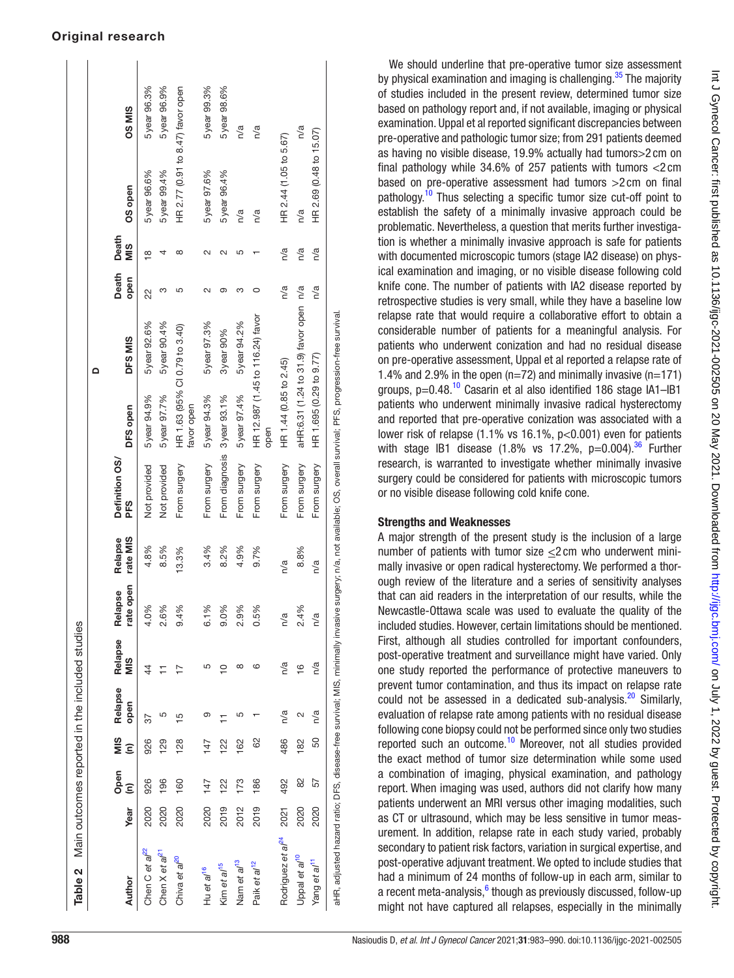| Table 2 Main outcomes reported in the included studies |      |           |          |                 |                    |                                |                     |                                                                                                                                                                   |                                             |                                        |               |                    |                                   |              |
|--------------------------------------------------------|------|-----------|----------|-----------------|--------------------|--------------------------------|---------------------|-------------------------------------------------------------------------------------------------------------------------------------------------------------------|---------------------------------------------|----------------------------------------|---------------|--------------------|-----------------------------------|--------------|
|                                                        |      |           |          |                 |                    |                                |                     |                                                                                                                                                                   |                                             | ≏                                      |               |                    |                                   |              |
| Author                                                 | Year | Open<br>Ē | SIM<br>Ξ | Relapse<br>open | Relapse<br>©<br>Mi | rate open<br>Relapse           | rate MIS<br>Relapse | Definition OS/<br>PFS                                                                                                                                             | DFS open                                    | DFS MIS                                | Death<br>open | Death<br>MIS       | OS open                           | <b>OSMIS</b> |
| Chen C et al <sup>22</sup>                             | 2020 | 926       | 926      | 37              | 44                 | 4.0%                           | 4.8%                | Not provided                                                                                                                                                      | 5year 94.9%                                 | 5 year 92.6%                           | 22            | $\frac{8}{1}$      | 5year 96.6%                       | 5 year 96.3% |
| Chen X et al <sup>21</sup>                             | 2020 | 196       | 129      | 5               |                    | 2.6%                           | 8.5%                | Not provided                                                                                                                                                      | 5year 97.7%                                 | 5 year 90.4%                           | ω             | 4                  | 5year 99.4%                       | 5 year 96.9% |
| Chiva et al <sup>20</sup>                              | 2020 | 160       | 128      | Ю               |                    | $\frac{5}{6}$<br>$\frac{4}{9}$ | 13.3%               | From surgery                                                                                                                                                      | HR 1.63 (95% CI 0.79 to 3.40)<br>favor open |                                        | 5             | $\infty$           | HR 2.77 (0.91 to 8.47) favor open |              |
| Hu et al <sup>16</sup>                                 | 2020 | 147       | 147      | ග               | ഥ                  | ℅<br>-<br>ف                    | 3.4%                | From surgery                                                                                                                                                      | 5year 94.3%                                 | 5 year 97.3%                           | N             | $\sim$             | 5year 97.6%                       | 5 year 99.3% |
| Kim et al <sup>15</sup>                                | 2019 | 122       | 122      |                 | $\frac{1}{2}$      | 3%<br>္ပ                       | 8.2%                | From diagnosis                                                                                                                                                    | 3year 93.1%                                 | 3year 90%                              | ග             | $\scriptstyle\sim$ | 5year 96.4%                       | 5 year 98.6% |
| Nam et a/ <sup>13</sup>                                | 2012 | 173       | 162      | ഥ               | ∞                  | 2.9%                           | 4.9%                | From surgery                                                                                                                                                      | 5year 97.4%                                 | 5 year 94.2%                           | ∞             | ഥ                  | n/a                               | n/a          |
| Paik et al <sup>12</sup>                               | 2019 | 186       | 8        |                 | ဖ                  | 0.5%                           | 9.7%                | From surgery                                                                                                                                                      | HR 12.987 (1.45 to 116.24) favor<br>open    |                                        |               |                    | n/a                               | n/a          |
| Rodriguez et al <sup>24</sup>                          | 2021 | 492       | 486      | n/a             | n/a                | $\sum_{i=1}^{n}$               | n/a                 | From surgery                                                                                                                                                      | HR 1.44 (0.85 to 2.45)                      |                                        | n/a           | n/a                | HR 2.44 (1.05 to 5.67)            |              |
| Uppal et al <sup>10</sup>                              | 2020 | 82        | 182      | $\sim$          | $\frac{6}{1}$      | $\frac{8}{3}$<br>$\frac{4}{3}$ | 8.8%                | From surgery                                                                                                                                                      |                                             | aHR:6.31 (1.24 to 31.9) favor open n/a |               | n/a                | n/a                               | n/a          |
| Yang et al <sup>11</sup>                               | 2020 | 57        | 50       | n/a             | n/a                | n/a                            | n/a                 | From surgery                                                                                                                                                      | HR 1.695 (0.29 to 9.77)                     |                                        | n/a           | n/a                | HR 2.69 (0.48 to 15.07)           |              |
|                                                        |      |           |          |                 |                    |                                |                     | aHR, adjusted hazard ratio; DFS, disease-free survival; MIS, minimally invasive surgery; n/a, not available; OS, overall survival; PFS, progression-free survival |                                             |                                        |               |                    |                                   |              |

#### by physical examination and imaging is challenging. $35$  The majority of studies included in the present review, determined tumor size based on pathology report and, if not available, imaging or physical examination. Uppal et al reported significant discrepancies between pre-operative and pathologic tumor size; from 291 patients deemed as having no visible disease, 19.9% actually had tumors>2 cm on final pathology while 34.6% of 257 patients with tumors <2 cm based on pre-operative assessment had tumors >2 cm on final pathology.[10](#page-6-8) Thus selecting a specific tumor size cut-off point to establish the safety of a minimally invasive approach could be problematic. Nevertheless, a question that merits further investigation is whether a minimally invasive approach is safe for patients with documented microscopic tumors (stage IA2 disease) on physical examination and imaging, or no visible disease following cold knife cone. The number of patients with IA2 disease reported by retrospective studies is very small, while they have a baseline low relapse rate that would require a collaborative effort to obtain a considerable number of patients for a meaningful analysis. For patients who underwent conization and had no residual disease on pre-operative assessment, Uppal et al reported a relapse rate of 1.4% and 2.9% in the open ( $n=72$ ) and minimally invasive ( $n=171$ ) groups,  $p=0.48$ .<sup>10</sup> Casarin et al also identified 186 stage IA1-IB1 patients who underwent minimally invasive radical hysterectomy and reported that pre-operative conization was associated with a lower risk of relapse (1.1% vs 16.1%, p<0.001) even for patients with stage IB1 disease  $(1.8\% \text{ vs } 17.2\% \text{, } p=0.004).$ <sup>[36](#page-7-12)</sup> Further research, is warranted to investigate whether minimally invasive surgery could be considered for patients with microscopic tumors or no visible disease following cold knife cone.

We should underline that pre-operative tumor size assessment

#### Strengths and Weaknesses

<span id="page-5-0"></span>A major strength of the present study is the inclusion of a large number of patients with tumor size <2 cm who underwent minimally invasive or open radical hysterectomy. We performed a thorough review of the literature and a series of sensitivity analyses that can aid readers in the interpretation of our results, while the Newcastle-Ottawa scale was used to evaluate the quality of the included studies. However, certain limitations should be mentioned. First, although all studies controlled for important confounders, post-operative treatment and surveillance might have varied. Only one study reported the performance of protective maneuvers to prevent tumor contamination, and thus its impact on relapse rate could not be assessed in a dedicated sub-analysis. $^{20}$  Similarly, evaluation of relapse rate among patients with no residual disease following cone biopsy could not be performed since only two studies reported such an outcome.[10](#page-6-8) Moreover, not all studies provided the exact method of tumor size determination while some used a combination of imaging, physical examination, and pathology report. When imaging was used, authors did not clarify how many patients underwent an MRI versus other imaging modalities, such as CT or ultrasound, which may be less sensitive in tumor measurement. In addition, relapse rate in each study varied, probably secondary to patient risk factors, variation in surgical expertise, and post-operative adjuvant treatment. We opted to include studies that had a minimum of 24 months of follow-up in each arm, similar to a recent meta-analysis,<sup>[6](#page-6-5)</sup> though as previously discussed, follow-up might not have captured all relapses, especially in the minimally

## Original research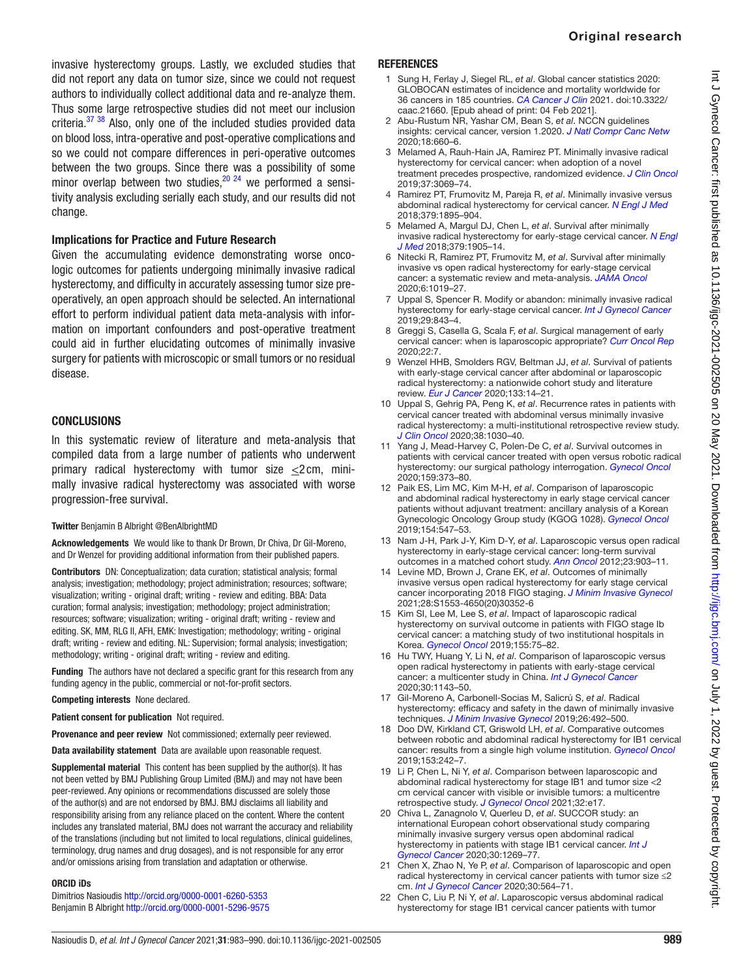invasive hysterectomy groups. Lastly, we excluded studies that did not report any data on tumor size, since we could not request authors to individually collect additional data and re-analyze them. Thus some large retrospective studies did not meet our inclusion criteria. $37\,38$  Also, only one of the included studies provided data on blood loss, intra-operative and post-operative complications and so we could not compare differences in peri-operative outcomes between the two groups. Since there was a possibility of some minor overlap between two studies,  $20^{24}$  we performed a sensitivity analysis excluding serially each study, and our results did not change.

# Implications for Practice and Future Research

Given the accumulating evidence demonstrating worse oncologic outcomes for patients undergoing minimally invasive radical hysterectomy, and difficulty in accurately assessing tumor size preoperatively, an open approach should be selected. An international effort to perform individual patient data meta-analysis with information on important confounders and post-operative treatment could aid in further elucidating outcomes of minimally invasive surgery for patients with microscopic or small tumors or no residual disease.

#### **CONCLUSIONS**

In this systematic review of literature and meta-analysis that compiled data from a large number of patients who underwent primary radical hysterectomy with tumor size <2 cm, minimally invasive radical hysterectomy was associated with worse progression-free survival.

#### Twitter Benjamin B Albright [@BenAlbrightMD](https://twitter.com/BenAlbrightMD)

Acknowledgements We would like to thank Dr Brown, Dr Chiva, Dr Gil-Moreno, and Dr Wenzel for providing additional information from their published papers.

Contributors DN: Conceptualization; data curation; statistical analysis; formal analysis; investigation; methodology; project administration; resources; software; visualization; writing - original draft; writing - review and editing. BBA: Data curation; formal analysis; investigation; methodology; project administration; resources; software; visualization; writing - original draft; writing - review and editing. SK, MM, RLG II, AFH, EMK: Investigation; methodology; writing - original draft; writing - review and editing. NL: Supervision; formal analysis; investigation; methodology; writing - original draft; writing - review and editing.

Funding The authors have not declared a specific grant for this research from any funding agency in the public, commercial or not-for-profit sectors.

Competing interests None declared.

Patient consent for publication Not required.

Provenance and peer review Not commissioned; externally peer reviewed.

Data availability statement Data are available upon reasonable request.

Supplemental material This content has been supplied by the author(s). It has not been vetted by BMJ Publishing Group Limited (BMJ) and may not have been peer-reviewed. Any opinions or recommendations discussed are solely those of the author(s) and are not endorsed by BMJ. BMJ disclaims all liability and responsibility arising from any reliance placed on the content. Where the content includes any translated material, BMJ does not warrant the accuracy and reliability of the translations (including but not limited to local regulations, clinical guidelines, terminology, drug names and drug dosages), and is not responsible for any error and/or omissions arising from translation and adaptation or otherwise.

#### ORCID iDs

Dimitrios Nasioudis <http://orcid.org/0000-0001-6260-5353> Benjamin B Albright<http://orcid.org/0000-0001-5296-9575>

#### **REFERENCES**

- <span id="page-6-0"></span>1 Sung H, Ferlay J, Siegel RL, *et al*. Global cancer statistics 2020: GLOBOCAN estimates of incidence and mortality worldwide for 36 cancers in 185 countries. *[CA Cancer J Clin](http://dx.doi.org/10.3322/caac.21660)* 2021. doi:10.3322/ caac.21660. [Epub ahead of print: 04 Feb 2021].
- <span id="page-6-1"></span>2 Abu-Rustum NR, Yashar CM, Bean S, *et al*. NCCN guidelines insights: cervical cancer, version 1.2020. *[J Natl Compr Canc Netw](http://dx.doi.org/10.6004/jnccn.2020.0027)* 2020;18:660–6.
- <span id="page-6-2"></span>3 Melamed A, Rauh-Hain JA, Ramirez PT. Minimally invasive radical hysterectomy for cervical cancer: when adoption of a novel treatment precedes prospective, randomized evidence. *[J Clin Oncol](http://dx.doi.org/10.1200/JCO.19.01164)* 2019;37:3069–74.
- <span id="page-6-3"></span>4 Ramirez PT, Frumovitz M, Pareja R, *et al*. Minimally invasive versus abdominal radical hysterectomy for cervical cancer. *[N Engl J Med](http://dx.doi.org/10.1056/NEJMoa1806395)* 2018;379:1895–904.
- <span id="page-6-4"></span>5 Melamed A, Margul DJ, Chen L, *et al*. Survival after minimally invasive radical hysterectomy for early-stage cervical cancer. *[N Engl](http://dx.doi.org/10.1056/NEJMoa1804923)  [J Med](http://dx.doi.org/10.1056/NEJMoa1804923)* 2018;379:1905–14.
- <span id="page-6-5"></span>6 Nitecki R, Ramirez PT, Frumovitz M, *et al*. Survival after minimally invasive vs open radical hysterectomy for early-stage cervical cancer: a systematic review and meta-analysis. *[JAMA Oncol](http://dx.doi.org/10.1001/jamaoncol.2020.1694)* 2020;6:1019–27.
- Uppal S, Spencer R. Modify or abandon: minimally invasive radical hysterectomy for early-stage cervical cancer. *[Int J Gynecol Cancer](http://dx.doi.org/10.1136/ijgc-2019-000574)* 2019;29:843–4.
- <span id="page-6-6"></span>8 Greggi S, Casella G, Scala F, *et al*. Surgical management of early cervical cancer: when is laparoscopic appropriate? *[Curr Oncol Rep](http://dx.doi.org/10.1007/s11912-020-0876-1)* 2020;22:7.
- <span id="page-6-7"></span>9 Wenzel HHB, Smolders RGV, Beltman JJ, *et al*. Survival of patients with early-stage cervical cancer after abdominal or laparoscopic radical hysterectomy: a nationwide cohort study and literature review. *[Eur J Cancer](http://dx.doi.org/10.1016/j.ejca.2020.04.006)* 2020;133:14–21.
- <span id="page-6-8"></span>10 Uppal S, Gehrig PA, Peng K, *et al*. Recurrence rates in patients with cervical cancer treated with abdominal versus minimally invasive radical hysterectomy: a multi-institutional retrospective review study. *[J Clin Oncol](http://dx.doi.org/10.1200/JCO.19.03012)* 2020;38:1030–40.
- <span id="page-6-16"></span>11 Yang J, Mead-Harvey C, Polen-De C, *et al*. Survival outcomes in patients with cervical cancer treated with open versus robotic radical hysterectomy: our surgical pathology interrogation. *[Gynecol Oncol](http://dx.doi.org/10.1016/j.ygyno.2020.08.031)* 2020;159:373–80.
- <span id="page-6-9"></span>12 Paik ES, Lim MC, Kim M-H, *et al*. Comparison of laparoscopic and abdominal radical hysterectomy in early stage cervical cancer patients without adjuvant treatment: ancillary analysis of a Korean Gynecologic Oncology Group study (KGOG 1028). *[Gynecol Oncol](http://dx.doi.org/10.1016/j.ygyno.2019.06.023)* 2019;154:547–53.
- <span id="page-6-11"></span>13 Nam J-H, Park J-Y, Kim D-Y, *et al*. Laparoscopic versus open radical hysterectomy in early-stage cervical cancer: long-term survival outcomes in a matched cohort study. *[Ann Oncol](http://dx.doi.org/10.1093/annonc/mdr360)* 2012;23:903–11.
- 14 Levine MD, Brown J, Crane EK, *et al*. Outcomes of minimally invasive versus open radical hysterectomy for early stage cervical cancer incorporating 2018 FIGO staging. *[J Minim Invasive Gynecol](http://dx.doi.org/10.1016/j.jmig.2020.07.021)* 2021;28:S1553-4650(20)30352-6
- <span id="page-6-15"></span>15 Kim SI, Lee M, Lee S, *et al*. Impact of laparoscopic radical hysterectomy on survival outcome in patients with FIGO stage Ib cervical cancer: a matching study of two institutional hospitals in Korea. *[Gynecol Oncol](http://dx.doi.org/10.1016/j.ygyno.2019.07.019)* 2019;155:75–82.
- <span id="page-6-14"></span>16 Hu TWY, Huang Y, Li N, *et al*. Comparison of laparoscopic versus open radical hysterectomy in patients with early-stage cervical cancer: a multicenter study in China. *[Int J Gynecol Cancer](http://dx.doi.org/10.1136/ijgc-2020-001340)* 2020;30:1143–50.
- 17 Gil-Moreno A, Carbonell-Socias M, Salicrú S, *et al*. Radical hysterectomy: efficacy and safety in the dawn of minimally invasive techniques. *[J Minim Invasive Gynecol](http://dx.doi.org/10.1016/j.jmig.2018.06.007)* 2019;26:492–500.
- 18 Doo DW, Kirkland CT, Griswold LH, *et al*. Comparative outcomes between robotic and abdominal radical hysterectomy for IB1 cervical cancer: results from a single high volume institution. *[Gynecol Oncol](http://dx.doi.org/10.1016/j.ygyno.2019.03.001)* 2019;153:242–7.
- 19 Li P, Chen L, Ni Y, *et al*. Comparison between laparoscopic and abdominal radical hysterectomy for stage IB1 and tumor size <2 cm cervical cancer with visible or invisible tumors: a multicentre retrospective study. *[J Gynecol Oncol](http://dx.doi.org/10.3802/jgo.2021.32.e17)* 2021;32:e17.
- <span id="page-6-10"></span>20 Chiva L, Zanagnolo V, Querleu D, *et al*. SUCCOR study: an international European cohort observational study comparing minimally invasive surgery versus open abdominal radical hysterectomy in patients with stage IB1 cervical cancer. *[Int J](http://dx.doi.org/10.1136/ijgc-2020-001506)  [Gynecol Cancer](http://dx.doi.org/10.1136/ijgc-2020-001506)* 2020;30:1269–77.
- <span id="page-6-13"></span>21 Chen X, Zhao N, Ye P, *et al*. Comparison of laparoscopic and open radical hysterectomy in cervical cancer patients with tumor size ≤2 cm. *[Int J Gynecol Cancer](http://dx.doi.org/10.1136/ijgc-2019-000994)* 2020;30:564–71.
- <span id="page-6-12"></span>22 Chen C, Liu P, Ni Y, *et al*. Laparoscopic versus abdominal radical hysterectomy for stage IB1 cervical cancer patients with tumor